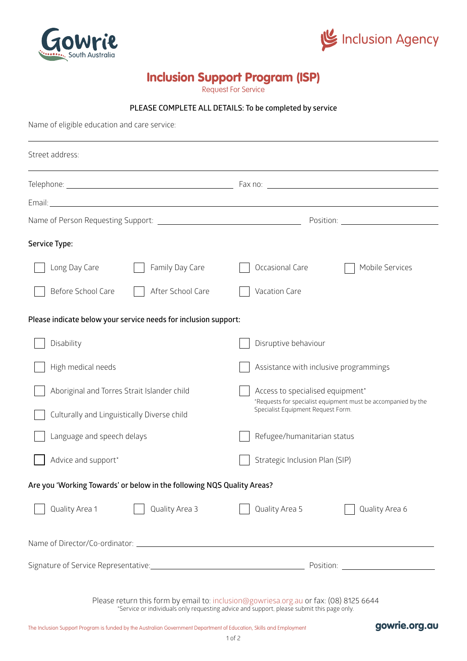



# Inclusion Support Program (ISP)

Request For Service

#### **PLEASE COMPLETE ALL DETAILS: To be completed by service**

Name of eligible education and care service:

| Street address:                                                                                                                                                                                                                      |                                                                                                                                         |  |  |  |
|--------------------------------------------------------------------------------------------------------------------------------------------------------------------------------------------------------------------------------------|-----------------------------------------------------------------------------------------------------------------------------------------|--|--|--|
|                                                                                                                                                                                                                                      | ,我们也不会有什么。""我们的人,我们也不会有什么?""我们的人,我们也不会有什么?""我们的人,我们也不会有什么?""我们的人,我们也不会有什么?""我们的人                                                        |  |  |  |
| Email: <u>Constantino and Communication and Communication and Communication and Communication and Communication and Communication and Communication and Communication and Communication and Communication and Communication and </u> |                                                                                                                                         |  |  |  |
|                                                                                                                                                                                                                                      |                                                                                                                                         |  |  |  |
| Service Type:                                                                                                                                                                                                                        |                                                                                                                                         |  |  |  |
| Long Day Care<br>Family Day Care                                                                                                                                                                                                     | Occasional Care<br>Mobile Services                                                                                                      |  |  |  |
| Before School Care<br>After School Care                                                                                                                                                                                              | Vacation Care                                                                                                                           |  |  |  |
| Please indicate below your service needs for inclusion support:                                                                                                                                                                      |                                                                                                                                         |  |  |  |
| Disability                                                                                                                                                                                                                           | Disruptive behaviour                                                                                                                    |  |  |  |
| High medical needs                                                                                                                                                                                                                   | Assistance with inclusive programmings                                                                                                  |  |  |  |
| Aboriginal and Torres Strait Islander child                                                                                                                                                                                          | Access to specialised equipment*<br>*Requests for specialist equipment must be accompanied by the<br>Specialist Equipment Request Form. |  |  |  |
| Culturally and Linguistically Diverse child                                                                                                                                                                                          |                                                                                                                                         |  |  |  |
| Language and speech delays                                                                                                                                                                                                           | Refugee/humanitarian status                                                                                                             |  |  |  |
| Advice and support*                                                                                                                                                                                                                  | Strategic Inclusion Plan (SIP)                                                                                                          |  |  |  |
| Are you 'Working Towards' or below in the following NQS Quality Areas?                                                                                                                                                               |                                                                                                                                         |  |  |  |
| Quality Area 1<br>Quality Area 3                                                                                                                                                                                                     | Quality Area 5<br>Quality Area 6                                                                                                        |  |  |  |
|                                                                                                                                                                                                                                      |                                                                                                                                         |  |  |  |
|                                                                                                                                                                                                                                      |                                                                                                                                         |  |  |  |
|                                                                                                                                                                                                                                      | Please return this form by email to: inclusion@gowriesa.org.au or fax: (08) 8125 6644                                                   |  |  |  |

\*Service or individuals only requesting advice and support, please submit this page only.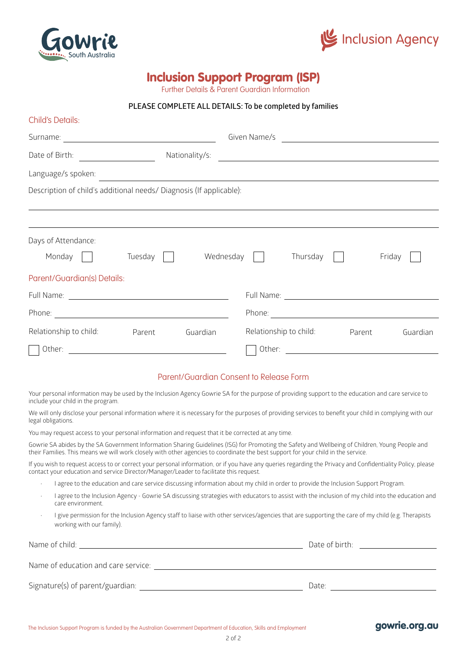



## Inclusion Support Program (ISP)

Further Details & Parent Guardian Information

#### **PLEASE COMPLETE ALL DETAILS: To be completed by families**

| Child's Details:                                                    |                                                                                                                       |                                               |          |        |          |
|---------------------------------------------------------------------|-----------------------------------------------------------------------------------------------------------------------|-----------------------------------------------|----------|--------|----------|
|                                                                     |                                                                                                                       |                                               |          |        |          |
| Date of Birth:<br><u> Albanya (Albanya)</u>                         | Nationality/s:                                                                                                        | <u> 1980 - Andrea Andrew Maria (h. 1980).</u> |          |        |          |
| Language/s spoken:                                                  | <u> 1989 - Johann Stoff, deutscher Stoffen und der Stoffen und der Stoffen und der Stoffen und der Stoffen und de</u> |                                               |          |        |          |
| Description of child's additional needs/ Diagnosis (If applicable): |                                                                                                                       |                                               |          |        |          |
|                                                                     |                                                                                                                       |                                               |          |        |          |
| Days of Attendance:<br>Monday<br>Tuesday $\vert \vert$              |                                                                                                                       | Wednesday                                     | Thursday |        | Friday   |
| Parent/Guardian(s) Details:                                         |                                                                                                                       |                                               |          |        |          |
|                                                                     |                                                                                                                       |                                               |          |        |          |
|                                                                     |                                                                                                                       |                                               |          |        |          |
| Relationship to child:<br>Parent                                    | Guardian                                                                                                              | Relationship to child:                        |          | Parent | Guardian |
| Other:<br><u> 1989 - Johann Barbara, martin amerikan basal da</u>   |                                                                                                                       |                                               |          |        |          |

#### Parent/Guardian Consent to Release Form

Your personal information may be used by the Inclusion Agency Gowrie SA for the purpose of providing support to the education and care service to include your child in the program.

We will only disclose your personal information where it is necessary for the purposes of providing services to benefit your child in complying with our legal obligations.

You may request access to your personal information and request that it be corrected at any time.

Gowrie SA abides by the SA Government Information Sharing Guidelines (ISG) for Promoting the Safety and Wellbeing of Children, Young People and their Families. This means we will work closely with other agencies to coordinate the best support for your child in the service.

If you wish to request access to or correct your personal information, or if you have any queries regarding the Privacy and Confidentiality Policy, please contact your education and service Director/Manager/Leader to facilitate this request.

- I agree to the education and care service discussing information about my child in order to provide the Inclusion Support Program.
- I agree to the Inclusion Agency Gowrie SA discussing strategies with educators to assist with the inclusion of my child into the education and care environment.
- I give permission for the Inclusion Agency staff to liaise with other services/agencies that are supporting the care of my child (e.g. Therapists working with our family).

| Name of child:                      | Date of birth: |  |  |  |
|-------------------------------------|----------------|--|--|--|
|                                     |                |  |  |  |
| Name of education and care service: |                |  |  |  |
| Signature(s) of parent/guardian:    | Date:          |  |  |  |